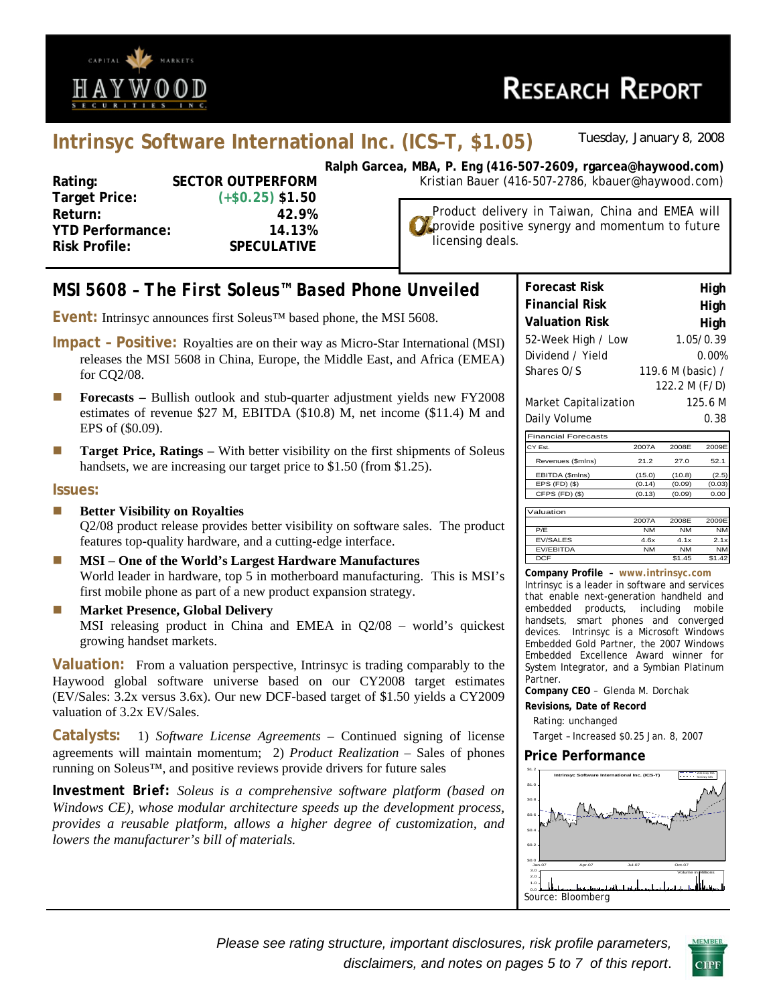

# **Intrinsyc Software International Inc. (ICS–T, \$1.05)** *Tuesday, January 8, 2008*

| <b>SECTOR OUTPERFORM</b>          |
|-----------------------------------|
| $(+\$0.25)$ \$1.50                |
| 42.9%                             |
| <b>YTD Performance:</b><br>14.13% |
| <b>SPECULATIVE</b>                |
|                                   |

**Ralph Garcea, MBA, P. Eng (416-507-2609, rgarcea@haywood.com) FORM** Kristian Bauer (416-507-2786, kbauer@haywood.com)

Product delivery in Taiwan, China and EMEA will **D** provide positive synergy and momentum to future licensing deals.

# *MSI 5608 – The First Soleus™ Based Phone Unveiled*

**Event:** Intrinsyc announces first Soleus™ based phone, the MSI 5608.

- **Impact Positive:** Royalties are on their way as Micro-Star International (MSI) releases the MSI 5608 in China, Europe, the Middle East, and Africa (EMEA) for CQ2/08.
- **Forecasts Bullish outlook and stub-quarter adjustment yields new FY2008** estimates of revenue \$27 M, EBITDA (\$10.8) M, net income (\$11.4) M and EPS of (\$0.09).
- **Target Price, Ratings** With better visibility on the first shipments of Soleus handsets, we are increasing our target price to \$1.50 (from \$1.25).

#### **Issues:**

- **Better Visibility on Royalties** Q2/08 product release provides better visibility on software sales. The product features top-quality hardware, and a cutting-edge interface.
- **MSI One of the World's Largest Hardware Manufactures**  World leader in hardware, top 5 in motherboard manufacturing. This is MSI's first mobile phone as part of a new product expansion strategy.
- **Market Presence, Global Delivery** MSI releasing product in China and EMEA in Q2/08 – world's quickest growing handset markets.

**Valuation:** From a valuation perspective, Intrinsyc is trading comparably to the Haywood global software universe based on our CY2008 target estimates (EV/Sales: 3.2x versus 3.6x). Our new DCF-based target of \$1.50 yields a CY2009 valuation of 3.2x EV/Sales.

**Catalysts:** 1) *Software License Agreements* – Continued signing of license agreements will maintain momentum; 2) *Product Realization* – Sales of phones running on Soleus™, and positive reviews provide drivers for future sales

*Investment Brief: Soleus is a comprehensive software platform (based on Windows CE), whose modular architecture speeds up the development process, provides a reusable platform, allows a higher degree of customization, and lowers the manufacturer's bill of materials.* 

| <b>Forecast Risk</b>  | High              |
|-----------------------|-------------------|
| <b>Financial Risk</b> | High              |
| <b>Valuation Risk</b> | High              |
| 52-Week High / Low    | 1.05/0.39         |
| Dividend / Yield      | 0.00%             |
| Shares O/S            | 119.6 M (basic) / |
|                       | 122.2 M (F/D)     |
| Market Capitalization | 125.6 M           |
| Daily Volume          | 0.38              |

| <b>Financial Forecasts</b> |          |           |           |
|----------------------------|----------|-----------|-----------|
| CY Est.                    | 2007A    | 2008F     | 2009E     |
| Revenues (\$mlns)          | 21.2     | 27.0      | 52.1      |
| EBITDA (\$mlns)            | (15.0)   | (10.8)    | (2.5)     |
| EPS (FD) (\$)              | (0.14)   | (0.09)    | (0.03)    |
| CFPS (FD) (\$)             | (0.13)   | (0.09)    | 0.00      |
| Valuation                  |          |           |           |
|                            | 2007A    | 2008E     | 2009E     |
| P/E                        | NM       | <b>NM</b> | <b>NM</b> |
| T1110111T1                 | $\cdots$ | $\sim$    | - -       |

|                  | -----     |           |           |
|------------------|-----------|-----------|-----------|
| P/F              | <b>NM</b> | <b>NM</b> | <b>NM</b> |
| <b>EV/SALES</b>  | 4.6x      | 4.1x      | 2.1x      |
| <b>EV/EBITDA</b> | <b>NM</b> | <b>NM</b> | <b>NM</b> |
| <b>DCF</b>       |           | \$1.45    |           |
|                  |           |           |           |

**Company Profile – www.intrinsyc.com** Intrinsyc is a leader in software and services that enable next-generation handheld and embedded products, including mobile handsets, smart phones and converged devices. Intrinsyc is a Microsoft Windows Embedded Gold Partner, the 2007 Windows Embedded Excellence Award winner for System Integrator, and a Symbian Platinum Partner.

**Company CEO** – Glenda M. Dorchak

**Revisions, Date of Record** 

Rating: unchanged

Target – Increased \$0.25 Jan. 8, 2007

#### **Price Performance**



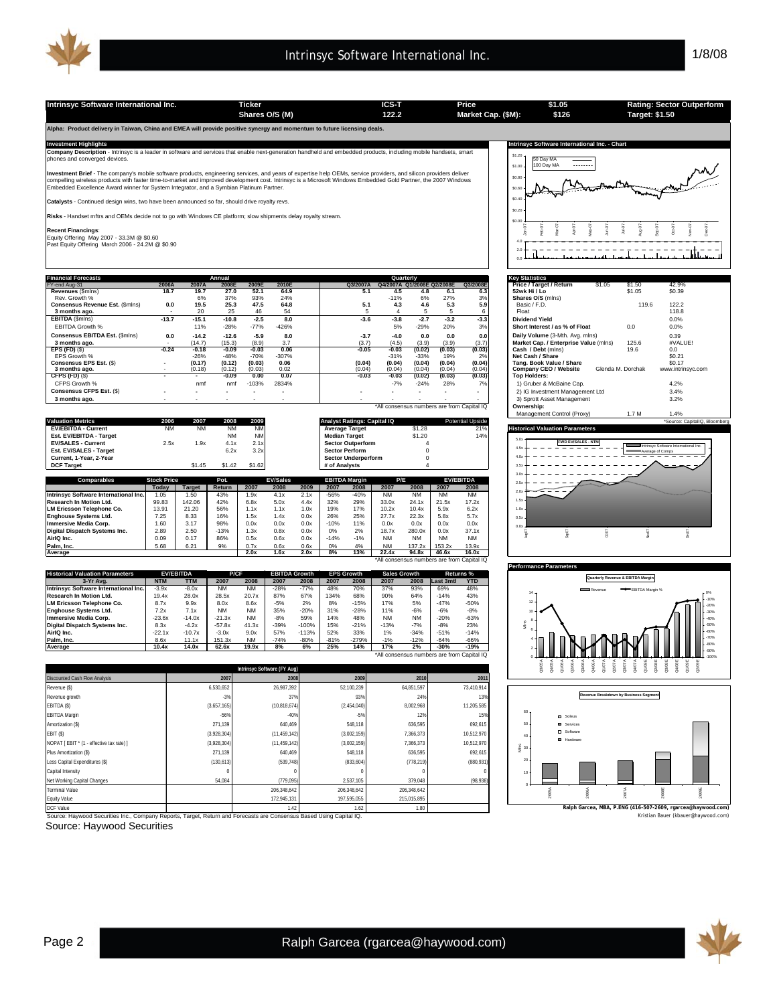

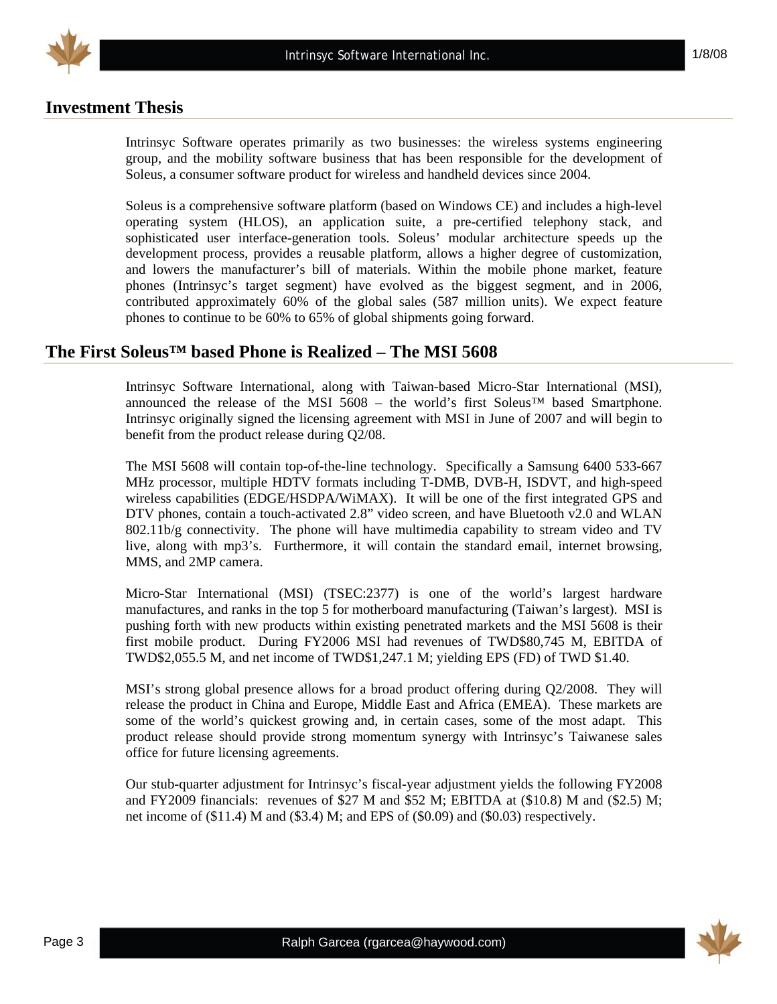

# **Investment Thesis**

Intrinsyc Software operates primarily as two businesses: the wireless systems engineering group, and the mobility software business that has been responsible for the development of Soleus, a consumer software product for wireless and handheld devices since 2004.

Soleus is a comprehensive software platform (based on Windows CE) and includes a high-level operating system (HLOS), an application suite, a pre-certified telephony stack, and sophisticated user interface-generation tools. Soleus' modular architecture speeds up the development process, provides a reusable platform, allows a higher degree of customization, and lowers the manufacturer's bill of materials. Within the mobile phone market, feature phones (Intrinsyc's target segment) have evolved as the biggest segment, and in 2006, contributed approximately 60% of the global sales (587 million units). We expect feature phones to continue to be 60% to 65% of global shipments going forward.

### **The First Soleus™ based Phone is Realized – The MSI 5608**

Intrinsyc Software International, along with Taiwan-based Micro-Star International (MSI), announced the release of the MSI 5608 – the world's first Soleus™ based Smartphone. Intrinsyc originally signed the licensing agreement with MSI in June of 2007 and will begin to benefit from the product release during Q2/08.

The MSI 5608 will contain top-of-the-line technology. Specifically a Samsung 6400 533-667 MHz processor, multiple HDTV formats including T-DMB, DVB-H, ISDVT, and high-speed wireless capabilities (EDGE/HSDPA/WiMAX). It will be one of the first integrated GPS and DTV phones, contain a touch-activated 2.8" video screen, and have Bluetooth v2.0 and WLAN 802.11b/g connectivity. The phone will have multimedia capability to stream video and TV live, along with mp3's. Furthermore, it will contain the standard email, internet browsing, MMS, and 2MP camera.

Micro-Star International (MSI) (TSEC:2377) is one of the world's largest hardware manufactures, and ranks in the top 5 for motherboard manufacturing (Taiwan's largest). MSI is pushing forth with new products within existing penetrated markets and the MSI 5608 is their first mobile product. During FY2006 MSI had revenues of TWD\$80,745 M, EBITDA of TWD\$2,055.5 M, and net income of TWD\$1,247.1 M; yielding EPS (FD) of TWD \$1.40.

MSI's strong global presence allows for a broad product offering during Q2/2008. They will release the product in China and Europe, Middle East and Africa (EMEA). These markets are some of the world's quickest growing and, in certain cases, some of the most adapt. This product release should provide strong momentum synergy with Intrinsyc's Taiwanese sales office for future licensing agreements.

Our stub-quarter adjustment for Intrinsyc's fiscal-year adjustment yields the following FY2008 and FY2009 financials: revenues of \$27 M and \$52 M; EBITDA at (\$10.8) M and (\$2.5) M; net income of (\$11.4) M and (\$3.4) M; and EPS of (\$0.09) and (\$0.03) respectively.

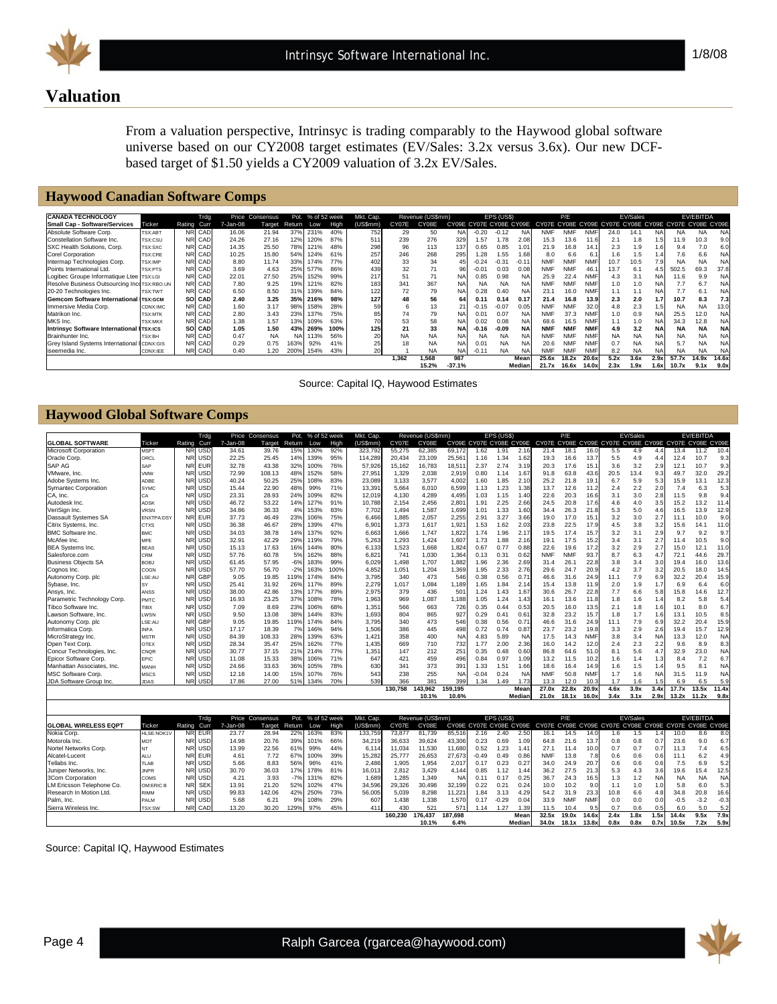

1/8/08

# **Valuation**

From a valuation perspective, Intrinsyc is trading comparably to the Haywood global software universe based on our CY2008 target estimates (EV/Sales: 3.2x versus 3.6x). Our new DCFbased target of \$1.50 yields a CY2009 valuation of 3.2x EV/Sales.

# **Haywood Canadian Software Comps**

| <b>CANADA TECHNOLOGY</b>                    |                |        | Trdg   |          | Price Consensus | Pot.      | % of 52 week |      | Mkt. Cap.       |       | Revenue (US\$mm) |                         |           | EPS (US\$) |           |                                                       | P/E        |            |           | EV/Sales  |           |           | <b>EV/EBITDA</b> |           |
|---------------------------------------------|----------------|--------|--------|----------|-----------------|-----------|--------------|------|-----------------|-------|------------------|-------------------------|-----------|------------|-----------|-------------------------------------------------------|------------|------------|-----------|-----------|-----------|-----------|------------------|-----------|
| <b>Small Cap - Software/Services</b>        | Ticker         | Rating | Curr   | 7-Jan-08 | Target          | Return    | Low          | High | (US\$mm)        | CY07E | CY08E            | CY09E CY07E CY08E CY09E |           |            |           | CY07E CY08E CY09E CY07E CY08E CY09E CY07E CY08E CY09E |            |            |           |           |           |           |                  |           |
| Absolute Software Corp.                     | TSX:ABT        |        | NR CAD | 16.06    | 21.94           | 37%       | 231%         | 40%  | 752             | 29    | 50               | <b>NA</b>               | $-0.20$   | $-0.12$    | <b>NA</b> | <b>NMF</b>                                            | <b>NMF</b> | <b>NMF</b> | 24.0      | 14.1      | <b>NA</b> | <b>NA</b> | <b>NA</b>        | <b>NA</b> |
| Constellation Software Inc.                 | <b>TSX:CSU</b> |        | NR CAD | 24.26    | 27.16           | 12%       | 120%         | 87%  | 511             | 239   | 276              | 329                     | 1.57      | .78        | 2.08      | 15.3                                                  | 13.6       | 11.6       | 2.1       | 1.8       |           | 11.9      | 10.3             | 9.0       |
| SXC Health Solutions, Corp.                 | TSX:SXC        |        | NR CAD | 14.35    | 25.50           | 78%       | 121%         | 48%  | 298             | 96    | 113              | 137                     | 0.65      | 0.85       | 1.01      | 21.9                                                  | 16.8       | 14.1       | 2.3       | 1.9       | 1.6       | 9.4       | 7.0              | 6.0       |
| Corel Corporation                           | <b>TSX:CRE</b> |        | NR CAD | 10.25    | 15.80           | 54%       | 124%         | 61%  | 257             | 246   | 268              | 295                     | 1.28      | .55        | 1.68      | 8.0                                                   | 6.6        | 6.1        | 1.6       | 1.5       | 1.4       | 7.6       | 6.6              | <b>NA</b> |
| Intermap Technologies Corp.                 | TSX:IMP        |        | NR CAD | 8.80     | 11.74           | 33%       | 174%         | 77%  | 402             | 33    | 34               | 45                      | $-0.24$   | $-0.31$    | $-0.11$   | <b>NMF</b>                                            | <b>NMF</b> | <b>NMF</b> | 10.7      | 10.5      | 7.9       | <b>NA</b> | <b>NA</b>        | <b>NA</b> |
| Points International Ltd.                   | <b>TSX:PTS</b> |        | NR CAD | 3.69     | 4.63            | 25%       | 577%         | 86%  | 439             | 32    | 71               | 96                      | $-0.01$   | 0.03       | 0.08      | <b>NMF</b>                                            | <b>NMF</b> | 46.1       | 13.7      | 6.1       | 4.5       | 502.5     | 69.3             | 37.8      |
| Logibec Groupe Informatique Ltee TSX:LGI    |                |        | NR CAD | 22.01    | 27.50           | 25%       | 152%         | 99%  | 217             | 51    | 71               | <b>NA</b>               | 0.85      | 0.98       | <b>NA</b> | 25.9                                                  | 22.4       | <b>NMF</b> | 4.3       | 3.1       | NA        | 11.6      | 9.9              | <b>NA</b> |
| Resolve Business Outsourcing InceTSX:RBO.UN |                |        | NR CAD | 7.80     | 9.25            | 19%       | 121%         | 82%  | 183             | 341   | 367              | <b>NA</b>               | <b>NA</b> | <b>NA</b>  | NA        | <b>NMF</b>                                            | <b>NMF</b> | <b>NMF</b> | 1.0       | 1.0       | NA        | 7.7       | 6.7              | <b>NA</b> |
| 20-20 Technologies Inc.                     | <b>TSX:TWT</b> |        | NR CAD | 6.50     | 8.50            | 31%       | 139%         | 84%  | 122             | 72    | 79               | <b>NA</b>               | 0.28      | 0.40       | NA        | 23.1                                                  | 16.0       | <b>NMF</b> | 1.1       | 1.1       | <b>NA</b> | 7.7       | 6.1              | <b>NA</b> |
| Gemcom Software International TSX:GCM       |                |        | SO CAD | 2.40     | 3.25            | 35%       | 216%         | 98%  | 127             | 48    | 56               | 64                      | 0.11      | 0.14       | 0.17      | 21.4                                                  | 16.8       | 13.9       | 2.3       | 2.0       | 1.7       | 10.7      | 8.3              | 7.3       |
| Immersive Media Corp.                       | CDNX:IMC       |        | NR CAD | 1.60     | 3.17            | 98%       | 158%         | 28%  | 59              |       | 13               |                         | $-0.15$   | $-0.07$    | 0.05      | <b>NMF</b>                                            | <b>NMF</b> | 32.0       | 4.8       | 2.3       | 1.5       | NA.       | <b>NA</b>        | 13.0      |
| Matrikon Inc.                               | <b>TSX:MTK</b> |        | NR CAD | 2.80     | 3.43            | 23%       | 137%         | 75%  | 85              | 74    | 79               | <b>NA</b>               | 0.01      | 0.07       | NA        | <b>NMF</b>                                            | 37.3       | <b>NMF</b> | 1.0       | 0.9       | <b>NA</b> | 25.5      | 12.0             | <b>NA</b> |
| MKS Inc.                                    | <b>TSX:MKX</b> |        | NR CAD | 1.38     | 1.57            | 13%       | 109%         | 63%  |                 | 53    | 58               | <b>NA</b>               | 0.02      | 0.08       | <b>NA</b> | 68.6                                                  | 16.5       | <b>NMF</b> | 1.1       | 1.0       | <b>NA</b> | 34.3      | 12.8             | <b>NA</b> |
| Intrinsyc Software International ITSX:ICS   |                |        | SO CAD | 1.05     | 1.50            | 43%       | 269%         | 100% | 125             | 21    | 33               | <b>NA</b>               | $-0.16$   | $-0.09$    | <b>NA</b> | <b>NMF</b>                                            | <b>NMF</b> | <b>NMF</b> | 4.9       | 3.2       | <b>NA</b> | <b>NA</b> | <b>NA</b>        | <b>NA</b> |
| Brainhunter Inc.                            | <b>TSX:BH</b>  |        | NR CAD | 0.47     | <b>NA</b>       | <b>NA</b> | 113%         | 56%  | 20              | NA    | NA               | <b>NA</b>               | <b>NA</b> | NA         | NA        | <b>NMF</b>                                            | <b>NMF</b> | <b>NMF</b> | <b>NA</b> | <b>NA</b> | NA        | <b>NA</b> | <b>NA</b>        | <b>NA</b> |
| Grey Island Systems International           | CDNX:GIS       |        | NR CAD | 0.29     | 0.75            | 163%      | 92%          | 41%  | 25              | 18    | <b>NA</b>        | <b>NA</b>               | 0.01      | <b>NA</b>  | <b>NA</b> | 20.6                                                  | <b>NMF</b> | <b>NMF</b> | 0.7       | <b>NA</b> | <b>NA</b> | 5.7       | <b>NA</b>        | <b>NA</b> |
| iseemedia Inc.                              | CDNX:IEE       |        | NR CAD | 0.40     | 1.20            | 200%      | 154%         | 43%  | 20 <sup>1</sup> |       | <b>NA</b>        | <b>NA</b>               | $-0.11$   | NA         | <b>NA</b> | <b>NMF</b>                                            | <b>NMF</b> | <b>NMF</b> | 8.2       | <b>NA</b> | <b>NA</b> | <b>NA</b> | <b>NA</b>        | <b>NA</b> |
|                                             |                |        |        |          |                 |           |              |      |                 | 1.362 | 1.568            | 987                     |           |            | Mean      | 25.6x                                                 | 18.2x      | 20.6x      | 5.2x      | 3.6x      | 2.9x      | 57.7x     | 14.9x            | 14.6x     |
|                                             |                |        |        |          |                 |           |              |      |                 |       | 15.2%            | $-37.1%$                |           |            | Median    | 21.7x                                                 | 16.6x      | 14.0x      | 2.3x      | 1.9x      | 1.6x      | 10.7x     | 9.1x             | 9.0x      |

Source: Capital IQ, Haywood Estimates

| <b>Haywood Global Software Comps</b> |             |           |              |          |                                  |                |      |                      |                       |         |                           |           |                         |            |           |            |              |            |                                     |          |           |           |                  |           |
|--------------------------------------|-------------|-----------|--------------|----------|----------------------------------|----------------|------|----------------------|-----------------------|---------|---------------------------|-----------|-------------------------|------------|-----------|------------|--------------|------------|-------------------------------------|----------|-----------|-----------|------------------|-----------|
| <b>GLOBAL SOFTWARE</b>               | Ticker      | Rating    | Trdg<br>Curr | 7-Jan-08 | Price Consensus<br>Target        | Pot.<br>Return | Low  | % of 52 week<br>High | Mkt. Cap.<br>(US\$mm) | CY07E   | Revenue (US\$mm)<br>CY08E |           | CY09E CY07E CY08E CY09E | EPS (US\$) |           | CY07E      | P/E<br>CY08E |            | CY09E CY07E CY08E CY09E CY07E CY08E | EV/Sales |           |           | <b>EV/EBITDA</b> | CY09E     |
| Microsoft Corporation                | <b>MSFT</b> | <b>NR</b> | USD          | 34.61    | 39.76                            | 15%            | 130% | 92%                  | 323,792               | 55,275  | 62,385                    | 69,172    | 1.62                    | 1.91       | 2.16      | 21.4       | 18.1         | 16.0       | 5.5                                 | 4.9      | 4.4       | 13.4      | 11.2             | 10.4      |
| Oracle Corp.                         | ORCL        | <b>NR</b> | USD          | 22.25    | 25.45                            | 14%            | 139% | 95%                  | 114,289               | 20,434  | 23,109                    | 25,561    | 1.16                    | 1.34       | 1.62      | 19.3       | 16.6         | 13.7       | 5.5                                 | 4.9      | 4.4       | 12.4      | 10.7             | 9.3       |
| SAP AG                               | SAP         | <b>NR</b> | <b>EUR</b>   | 32.78    | 43.38                            | 32%            | 100% | 76%                  | 57,926                | 15,162  | 16,783                    | 18,511    | 2.37                    | 2.74       | 3.19      | 20.3       | 17.6         | 15.7       | 3.6                                 | 3.2      | 2.9       | 12.1      | 10.7             | 9.3       |
| VMware, Inc.                         | /MW         | <b>NR</b> | USD          | 72.99    | 108.13                           | 48%            | 152% | 58%                  | 27.95'                | 1.329   | 2.038                     | 2.919     | 0.80                    | 1.14       | 1.67      | 91.8       | 63.8         | 43.6       | 20.5                                | 13.4     | 9.3       | 49.7      | 32.0             | 29.2      |
| Adobe Systems Inc.                   | ADBE        | <b>NR</b> | USD          | 40.24    | 50.25                            | 25%            | 108% | 83%                  | 23,089                | 3,133   | 3,577                     | 4,002     | 1.60                    | 1.85       | 2.10      | 25.2       | 21.8         | 19.7       | 6.7                                 | 5.9      | 5.3       | 15.9      | 13.1             | 12.3      |
| <b>Symantec Corporation</b>          | <b>SYMC</b> | <b>NR</b> | USD          | 15.44    | 22.90                            | 48%            | 99%  | 71%                  | 13,39'                | 5,664   | 6,010                     | 6,599     | 1.13                    | 1.23       | 1.38      | 13.7       | 12.6         | 11.2       | 2.4                                 | 2.2      | 2.0       | 7.4       | 6.3              | 5.3       |
| CA. Inc.                             | ٦A          | <b>NR</b> | USD          | 23.31    | 28.93                            | 24%            | 109% | 82%                  | 12.019                | 4.130   | 4.289                     | 4.495     | 1.03                    | 1.15       | 1.40      | 22.6       | 20.3         | 16.6       | 3.1                                 | 3.0      | 2.8       | 11.5      | 9.8              | 9.4       |
| Autodesk Inc.                        | ADSK        | <b>NR</b> | USD          | 46.72    | 53.22                            | 14%            | 127% | 91%                  | 10,788                | 2.154   | 2,456                     | 2,801     | 1.91                    | 2.25       | 2.66      | 24.5       | 20.8         | 17.6       | 4.6                                 | 4.0      | 3.5       | 15.2      | 13.2             | 11.4      |
| VeriSign Inc                         | /RSN        | <b>NR</b> | USD          | 34.86    | 36.33                            | 4%             | 153% | 83%                  | 7,702                 | 1,494   | 1,587                     | 1,699     | 1.01                    | 1.33       | 1.60      | 34.4       | 26.3         | 21.8       | 5.3                                 | 5.0      | 4.6       | 16.5      | 13.9             | 12.9      |
|                                      |             | <b>NR</b> | EUR          | 37.73    | 46.49                            | 23%            | 106% | 75%                  | 6.466                 | 1.885   | 2.057                     | 2.255     | 2.91                    | 3.27       | 3.66      | 19.0       | 17.0         | 15.1       | 3.2                                 | 3.0      | 2.7       |           | 10.0             | 9.0       |
| Dassault Systemes SA                 | ENXTPA:DSY  | <b>NR</b> |              | 36.38    |                                  | 28%            | 139% | 47%                  |                       | 1.373   | 1.617                     | 1.921     |                         | 1.62       | 2.03      | 23.8       | 22.5         |            |                                     |          |           | 11.1      |                  |           |
| Citrix Systems, Inc.                 | CTXS        |           | USD          |          | 46.67                            |                |      |                      | 6.90'                 |         |                           |           | 1.53                    |            |           |            |              | 17.9       | 4.5                                 | 3.8      | 3.2       | 15.6      | 14.1             | 11.0      |
| <b>BMC Software Inc.</b>             | <b>BMC</b>  | <b>NR</b> | USD          | 34.03    | 38.78                            | 14%            | 137% | 92%                  | 6,663                 | 1,666   | 1,747                     | 1,822     | 1.74                    | 1.96       | 2.17      | 19.5       | 17.4         | 15.7       | 3.2                                 | 3.1      | 2.9       | 9.7       | 9.2              | 9.7       |
| McAfee Inc.                          | <b>MFE</b>  | <b>NR</b> | USD          | 32.91    | 42.29                            | 29%            | 119% | 79%                  | 5,263                 | 1.293   | 1.424                     | 1.607     | 1.73                    | 1.88       | 2.16      | 19.1       | 17.5         | 15.2       | 3.4                                 | 3.1      | 2.7       | 11.4      | 10.5             | 9.0       |
| <b>BEA Systems Inc.</b>              | <b>BEAS</b> | <b>NR</b> | USD          | 15.13    | 17.63                            | 16%            | 144% | 80%                  | 6,133                 | 1.523   | 1.668                     | 1.824     | 0.67                    | 0.77       | 0.88      | 22.6       | 19.6         | 17.2       | 3.2                                 | 2.9      | 2.7       | 15.0      | 12.1             | 11.0      |
| Salesforce.com                       | <b>CRM</b>  | <b>NR</b> | USD          | 57.76    | 60.78                            | 5%             | 162% | 88%                  | 6.821                 | 741     | 1.030                     | 1.364     | 0.13                    | 0.31       | 0.62      | <b>NMF</b> | <b>NMF</b>   | 93.7       | 8.7                                 | 6.3      | 4.7       | 72.1      | 44.6             | 29.7      |
| <b>Business Obiects SA</b>           | <b>BOBJ</b> | <b>NR</b> | USD          | 61.45    | 57.95                            | $-6%$          | 183% | 99%                  | 6.029                 | 1.498   | 1.707                     | 1.882     | 1.96                    | 2.36       | 2.69      | 31.4       | 26.1         | 22.8       | 3.8                                 | 3.4      | 3.0       | 19.4      | 16.0             | 13.6      |
| Cognos Inc.                          | COGN        | <b>NR</b> | USD          | 57.70    | 56.70                            | $-2%$          | 163% | 100%                 | 4,852                 | 1.051   | 1,204                     | 1,369     | 1.95                    | 2.33       | 2.76      | 29.6       | 24.7         | 20.9       | 4.2                                 | 3.7      | 3.2       | 20.5      | 18.0             | 14.5      |
| Autonomy Corp. plc                   | SE:AL       | <b>NR</b> | GBF          | 9.05     | 19.85                            | 119%           | 174% | 84%                  | 3.795                 | 340     | 473                       | 546       | 0.38                    | 0.56       | 0.71      | 46.6       | 31.6         | 24.9       | 11.1                                | 7.9      | 6.9       | 32.2      | 20.4             | 15.9      |
| Sybase, Inc.                         | SY          | <b>NR</b> | USD          | 25.41    | 31.92                            | 26%            | 117% | 89%                  | 2,279                 | 1.017   | 1.084                     | 1.189     | 1.65                    | 1.84       | 2.14      | 15.4       | 13.8         | 11.9       | 2.0                                 | 1.9      | 1.7       | 6.9       | 6.4              | 6.0       |
| Ansys, Inc.                          | ANSS        | <b>NR</b> | USD          | 38.00    | 42.86                            | 13%            | 177% | 89%                  | 2,975                 | 379     | 436                       | 501       | 1.24                    | 1.43       | 1.67      | 30.6       | 26.7         | 22.8       | 7.7                                 | 6.6      | 5.8       | 15.8      | 14.6             | 12.7      |
| Parametric Technology Corp.          | PMTC        | <b>NR</b> | USD          | 16.93    | 23.25                            | 37%            | 108% | 78%                  | 1,963                 | 969     | 1,087                     | 1.188     | 1.05                    | 1.24       | 1.43      | 16.1       | 13.6         | 11.8       | 1.8                                 | 1.6      | 1.4       | 8.2       | 5.8              | 5.4       |
| Tibco Software Inc.                  | <b>TIBX</b> | <b>NR</b> | USD          | 7.09     | 8.69                             | 23%            | 106% | 68%                  | 1.35'                 | 566     | 663                       | 726       | 0.35                    | 0.44       | 0.53      | 20.5       | 16.0         | 13.5       | 2.1                                 | 1.8      | 1.6       | 10.1      | 8.0              | 6.7       |
| Lawson Software, Inc.                | <b>WSN</b>  | <b>NR</b> | USD          | 9.50     | 13.08                            | 38%            | 144% | 83%                  | 1,693                 | 804     | 865                       | 927       | 0.29                    | 0.41       | 0.61      | 32.8       | 23.2         | 15.7       | 1.8                                 | 1.7      | 1.6       | 13.1      | 10.5             | 8.5       |
| Autonomy Corp. plc                   | LSE:AL      | <b>NR</b> | GBF          | 9.05     | 19.85                            | 119%           | 174% | 84%                  | 3.795                 | 340     | 473                       | 546       | 0.38                    | 0.56       | 0.71      | 46.6       | 31.6         | 24.9       | 11.1                                | 7.9      | 6.9       | 32.2      | 20.4             | 15.9      |
| Informatica Corp.                    | <b>NFA</b>  | <b>NR</b> | USD          | 17.17    | 18.39                            | 7%             | 146% | 94%                  | 1.506                 | 386     | 445                       | 498       | 0.72                    | 0.74       | 0.87      | 23.7       | 23.2         | 19.8       | 3.3                                 | 2.9      | 2.6       | 19.4      | 15.7             | 12.9      |
|                                      |             |           |              |          |                                  |                |      |                      |                       |         |                           |           |                         |            |           |            |              |            |                                     |          |           |           |                  |           |
| MicroStrategy Inc.                   | <b>MSTR</b> | <b>NR</b> | USD          | 84.39    | 108.33                           | 28%            | 139% | 63%                  | 1,42'                 | 358     | 400                       | <b>NA</b> | 4.83                    | 5.89       | <b>NA</b> | 17.5       | 14.3         | <b>NMF</b> | 3.8                                 | 3.4      | <b>NA</b> | 13.3      | 12.0             | <b>NA</b> |
| Open Text Corp.                      | <b>OTEX</b> | <b>NR</b> | USD          | 28.34    | 35.47                            | 25%            | 162% | 77%                  | 1.435                 | 669     | 710                       | 732       | 1.77                    | 2.00       | 2.36      | 16.0       | 14.2         | 12.0       | 2.4                                 | 2.3      | 2.2       | 9.6       | 8.9              | 8.3       |
| Concur Technologies, Inc.            | CNQR        | <b>NR</b> | USD          | 30.77    | 37.15                            | 21%            | 214% | 77%                  | 1,351                 | 147     | 212                       | 251       | 0.35                    | 0.48       | 0.60      | 86.8       | 64.6         | 51.0       | 8.1                                 | 5.6      | 4.7       | 32.9      | 23.0             | <b>NA</b> |
| <b>Epicor Software Corp</b>          | EPIC        | <b>NR</b> | USD          | 11.08    | 15.33                            | 38%            | 106% | 71%                  | 647                   | 421     | 459                       | 496       | 0.84                    | 0.97       | 1.09      | 13.2       | 11.5         | 10.2       | 1.6                                 | 1.4      | 1.3       | 8.4       | 7.2              | 6.7       |
| Manhattan Associates, Inc.           | MANH        | <b>NR</b> | USD          | 24.66    | 33.63                            | 36%            | 105% | 78%                  | 630                   | 341     | 373                       | 391       | 1.33                    | 1.51       | 1.66      | 18.6       | 16.4         | 14.9       | 1.6                                 | 1.5      | 1.4       | 9.5       | 8.1              | <b>NA</b> |
| <b>MSC Software Corp</b>             | <b>MSCS</b> | <b>NR</b> | USC          | 12.18    | 14.00                            | 15%            | 107% | 76%                  | 543                   | 238     | 255                       | <b>NA</b> | $-0.04$                 | 0.24       | <b>NA</b> | <b>NMF</b> | 50.8         | <b>NMF</b> | 1.7                                 | 1.6      | <b>NA</b> | 31.5      | 11.9             | <b>NA</b> |
| JDA Software Group Inc               | <b>JDAS</b> | NR.       | USD          | 17.86    | 27.00                            | 51%            | 134% | 70%                  | 539                   | 366     | 381                       | 399       | 1.34                    | 1.49       | 1.73      | 13.3       | 12.0         | 10.3       | 1.7                                 | 1.6      | 1.5       | 6.9       | 6.5              | 5.9       |
|                                      |             |           |              |          |                                  |                |      |                      |                       | 130.758 | 143.962                   | 59.195    |                         |            | Mean      | 27.0x      | 22.8x        | 20.9x      | 4.6x                                | 3.9x     | 3.4x      | 17.7x     | 13.5x            | 11.4x     |
|                                      |             |           |              |          |                                  |                |      |                      |                       |         | 10.1%                     | 10.6%     |                         |            | Median    | 21.0x      | 18.1x        | 16.0x      | 3.4x                                | 3.1x     | 2.9x      | 13.2x     | 11.2x            | 9.8x      |
|                                      |             |           |              |          |                                  |                |      |                      |                       |         |                           |           |                         |            |           |            |              |            |                                     |          |           |           |                  |           |
| <b>GLOBAL WIRELESS EQPT</b>          | Ticker      | Rating    | Trdg<br>Curr | 7-Jan-08 | <b>Price Consensus</b><br>Target | Pot.<br>Return | Low  | % of 52 week<br>High | Mkt. Cap.<br>(US\$mm) | CY07E   | Revenue (US\$mm)<br>CY08E |           | CY09E CY07E CY08E CY09E | EPS (US\$) |           | CY07E      | P/E<br>CY08E |            | CY09E CY07E CY08E CY09E CY07E CY08E | EV/Sales |           |           | <b>EV/EBITDA</b> | CY09E     |
| Nokia Corp.                          | HLSE:NOK1\  | <b>NR</b> | EUR          | 23.77    | 28.94                            | 22%            | 163% | 83%                  | 133,759               | 73,877  | 81,739                    | 85,516    | 2.16                    | 2.40       | 2.50      | 16.1       | 14.5         | 14.0       | 1.6                                 | 1.5      | 1.4       | 10.0      | 8.6              | 8.0       |
| Motorola Inc.                        | <b>MOT</b>  | <b>NR</b> | USD          | 14.98    | 20.76                            | 39%            | 101% | 66%                  | 34,219                | 36.633  | 39,624                    | 43,306    | 0.23                    | 0.69       | 1.09      | 64.8       | 21.6         | 13.7       | 0.8                                 | 0.8      | 0.7       | 23.6      | 9.0              | 6.7       |
|                                      |             |           | USD          |          |                                  |                | 99%  |                      |                       |         |                           |           | 0.52                    |            |           |            |              |            |                                     |          |           |           |                  |           |
| Nortel Networks Corp.                | ЧT          | <b>NR</b> |              | 13.99    | 22.56                            | 61%            |      | 44%                  | 6.114                 | 11.034  | 11,530                    | 11.680    |                         | 1.23       | 1.41      | 27.1       | 11.4         | 10.0       | 0.7                                 | 0.7      | 0.7       | 11.3      | 7.4              | 6.5       |
| Alcatel-Lucent                       | ALU         | <b>NR</b> | EUR          | 4.61     | 7.72                             | 67%            | 100% | 39%                  | 15,282                | 25,777  | 26,653                    | 27,673    | $-0.49$                 | 0.49       | 0.86      | <b>NMF</b> | 13.8         | 7.8        | 0.6                                 | 0.6      | 0.6       | 11.1      | 6.2              | 4.9       |
| Tellabs Inc.                         | <b>TLAB</b> | <b>NR</b> | USD          | 5.66     | 8.83                             | 56%            | 96%  | 41%                  | 2,486                 | 1,905   | 1,954                     | 2,017     | 0.17                    | 0.23       | 0.27      | 34.0       | 24.9         | 20.7       | 0.6                                 | 0.6      | 0.6       | 7.5       | 6.9              | 5.2       |
| Juniper Networks, Inc.               | <b>JNPR</b> | <b>NR</b> | USD          | 30.70    | 36.03                            | 17%            | 178% | 81%                  | 16,013                | 2.812   | 3.429                     | 4.144     | 0.85                    | 1.12       | 1.44      | 36.2       | 27.5         | 21.3       | 5.3                                 | 4.3      | 3.6       | 19.6      | 15.4             | 12.5      |
| 3Com Corporation                     | COMS        | <b>NR</b> | USD          | 4.21     | 3.93                             | $-7%$          | 131% | 82%                  | 1.689                 | 1.285   | 1.349                     | <b>NA</b> | 0.11                    | 0.17       | 0.25      | 36.7       | 24.3         | 16.5       | 1.3                                 | 1.2      | <b>NA</b> | <b>NA</b> | <b>NA</b>        | NA        |
| LM Ericsson Telephone Co.            | OM:ERIC B   | <b>NR</b> | SEK          | 13.91    | 21.20                            | 52%            | 102% | 47%                  | 34.596                | 29.326  | 30.498                    | 32.199    | 0.22                    | 0.21       | 0.24      | 10.0       | 10.2         | 9.0        | 1.1                                 | 1.0      | 1.0       | 5.8       | 6.0              | 5.3       |
| Research In Motion Ltd               | <b>RIMM</b> | <b>NR</b> | USD          | 99.83    | 142.06                           | 42%            | 250% | 73%                  | 56,005                | 5.039   | 8,298                     | 11,221    | 1.84                    | 3.13       | 4.29      | 54.2       | 31.9         | 23.3       | 10.8                                | 6.6      | 4.8       | 34.8      | 20.8             | 16.6      |
| Palm, Inc.                           | PALM        | <b>NR</b> | USC          | 5.68     | 6.21                             | 9%             | 108% | 29%                  | 607                   | 1.438   | 1.338                     | 1,570     | 0.17                    | $-0.29$    | 0.04      | 33.9       | <b>NMF</b>   | <b>NMF</b> | 0.0                                 | 0.0      | 0.0       | $-0.5$    | $-3.2$           | $-0.3$    |
| Sierra Wireless Inc.                 | TSX:SV      | <b>NR</b> | CAL          | 13.20    | 30.20                            | 29%            | 97%  | 45%                  | 41 <sup>2</sup>       | 430     | 521                       | 571       | 1.14                    | 1.27       | 1.39      | 11.5       | 10.4         | 9.5        | 0.7                                 | 0.6      | 0.5       | 6.0       | 5.0              | 5.2       |
|                                      |             |           |              |          |                                  |                |      |                      |                       | 160.230 | 176.437                   | 187.698   |                         |            | Mean      | 32.5x      | 19.0x        | 14.6x      | 2.4x                                | 1.8x     | 1.5x      | 14.4x     | 9.5x             | 7.9x      |
|                                      |             |           |              |          |                                  |                |      |                      |                       |         | 10.1%                     | 6.4%      |                         |            | Median    | 34.0x      | 18.1x        | 13.8x      | 0.8x                                | 0.8x     | 0.7x      | 10.5x     | 7.2x             | 5.9x      |

Source: Capital IQ, Haywood Estimates

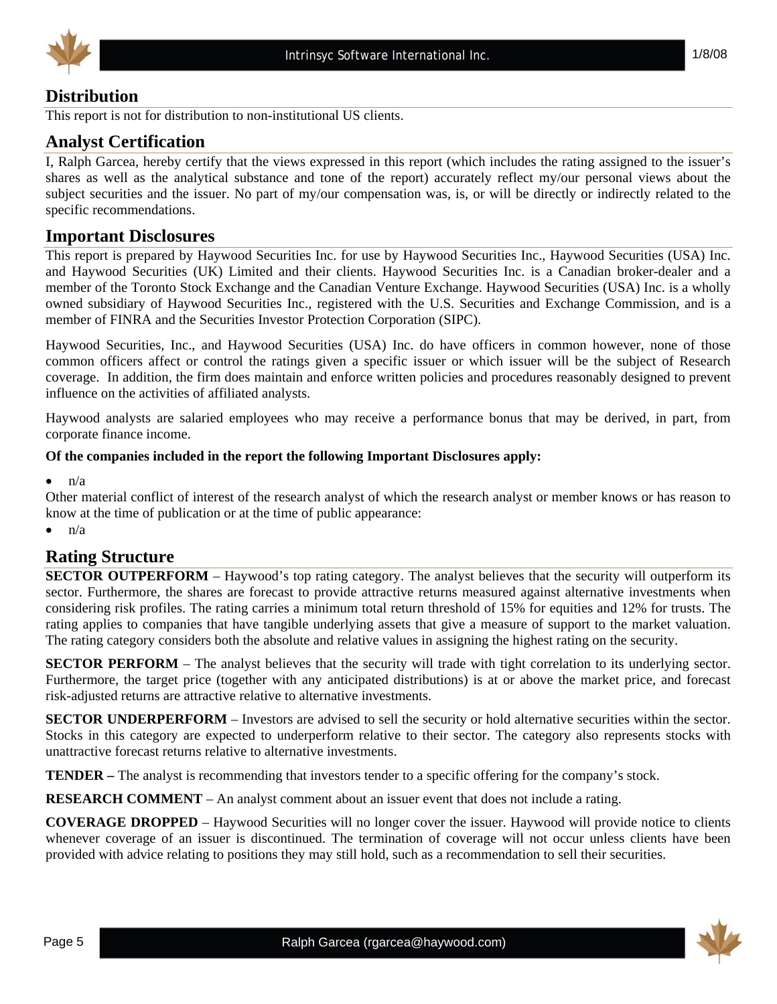



# **Distribution**

This report is not for distribution to non-institutional US clients.

# **Analyst Certification**

I, Ralph Garcea, hereby certify that the views expressed in this report (which includes the rating assigned to the issuer's shares as well as the analytical substance and tone of the report) accurately reflect my/our personal views about the subject securities and the issuer. No part of my/our compensation was, is, or will be directly or indirectly related to the specific recommendations.

# **Important Disclosures**

This report is prepared by Haywood Securities Inc. for use by Haywood Securities Inc., Haywood Securities (USA) Inc. and Haywood Securities (UK) Limited and their clients. Haywood Securities Inc. is a Canadian broker-dealer and a member of the Toronto Stock Exchange and the Canadian Venture Exchange. Haywood Securities (USA) Inc. is a wholly owned subsidiary of Haywood Securities Inc., registered with the U.S. Securities and Exchange Commission, and is a member of FINRA and the Securities Investor Protection Corporation (SIPC).

Haywood Securities, Inc., and Haywood Securities (USA) Inc. do have officers in common however, none of those common officers affect or control the ratings given a specific issuer or which issuer will be the subject of Research coverage. In addition, the firm does maintain and enforce written policies and procedures reasonably designed to prevent influence on the activities of affiliated analysts.

Haywood analysts are salaried employees who may receive a performance bonus that may be derived, in part, from corporate finance income.

#### **Of the companies included in the report the following Important Disclosures apply:**

 $n/a$ 

Other material conflict of interest of the research analyst of which the research analyst or member knows or has reason to know at the time of publication or at the time of public appearance:

 $\bullet$  n/a

### **Rating Structure**

**SECTOR OUTPERFORM** – Haywood's top rating category. The analyst believes that the security will outperform its sector. Furthermore, the shares are forecast to provide attractive returns measured against alternative investments when considering risk profiles. The rating carries a minimum total return threshold of 15% for equities and 12% for trusts. The rating applies to companies that have tangible underlying assets that give a measure of support to the market valuation. The rating category considers both the absolute and relative values in assigning the highest rating on the security.

**SECTOR PERFORM** – The analyst believes that the security will trade with tight correlation to its underlying sector. Furthermore, the target price (together with any anticipated distributions) is at or above the market price, and forecast risk-adjusted returns are attractive relative to alternative investments.

**SECTOR UNDERPERFORM** – Investors are advised to sell the security or hold alternative securities within the sector. Stocks in this category are expected to underperform relative to their sector. The category also represents stocks with unattractive forecast returns relative to alternative investments.

**TENDER –** The analyst is recommending that investors tender to a specific offering for the company's stock.

**RESEARCH COMMENT** – An analyst comment about an issuer event that does not include a rating.

**COVERAGE DROPPED** – Haywood Securities will no longer cover the issuer. Haywood will provide notice to clients whenever coverage of an issuer is discontinued. The termination of coverage will not occur unless clients have been provided with advice relating to positions they may still hold, such as a recommendation to sell their securities.

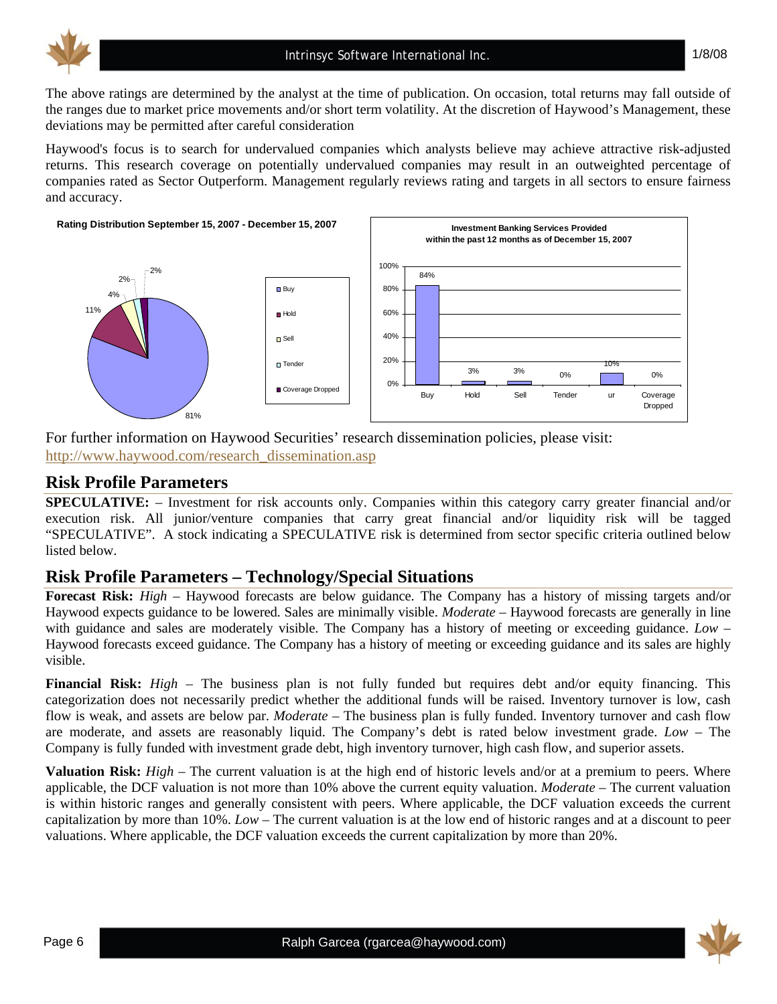

The above ratings are determined by the analyst at the time of publication. On occasion, total returns may fall outside of the ranges due to market price movements and/or short term volatility. At the discretion of Haywood's Management, these deviations may be permitted after careful consideration

Haywood's focus is to search for undervalued companies which analysts believe may achieve attractive risk-adjusted returns. This research coverage on potentially undervalued companies may result in an outweighted percentage of companies rated as Sector Outperform. Management regularly reviews rating and targets in all sectors to ensure fairness and accuracy.



#### For further information on Haywood Securities' research dissemination policies, please visit: http://www.haywood.com/research\_dissemination.asp

### **Risk Profile Parameters**

**SPECULATIVE:** – Investment for risk accounts only. Companies within this category carry greater financial and/or execution risk. All junior/venture companies that carry great financial and/or liquidity risk will be tagged "SPECULATIVE". A stock indicating a SPECULATIVE risk is determined from sector specific criteria outlined below listed below.

# **Risk Profile Parameters – Technology/Special Situations**

**Forecast Risk:** *High* – Haywood forecasts are below guidance. The Company has a history of missing targets and/or Haywood expects guidance to be lowered. Sales are minimally visible. *Moderate* – Haywood forecasts are generally in line with guidance and sales are moderately visible. The Company has a history of meeting or exceeding guidance. *Low* – Haywood forecasts exceed guidance. The Company has a history of meeting or exceeding guidance and its sales are highly visible.

**Financial Risk:** *High* – The business plan is not fully funded but requires debt and/or equity financing. This categorization does not necessarily predict whether the additional funds will be raised. Inventory turnover is low, cash flow is weak, and assets are below par. *Moderate* – The business plan is fully funded. Inventory turnover and cash flow are moderate, and assets are reasonably liquid. The Company's debt is rated below investment grade. *Low* – The Company is fully funded with investment grade debt, high inventory turnover, high cash flow, and superior assets.

**Valuation Risk:** *High* – The current valuation is at the high end of historic levels and/or at a premium to peers. Where applicable, the DCF valuation is not more than 10% above the current equity valuation. *Moderate* – The current valuation is within historic ranges and generally consistent with peers. Where applicable, the DCF valuation exceeds the current capitalization by more than 10%. *Low* – The current valuation is at the low end of historic ranges and at a discount to peer valuations. Where applicable, the DCF valuation exceeds the current capitalization by more than 20%.